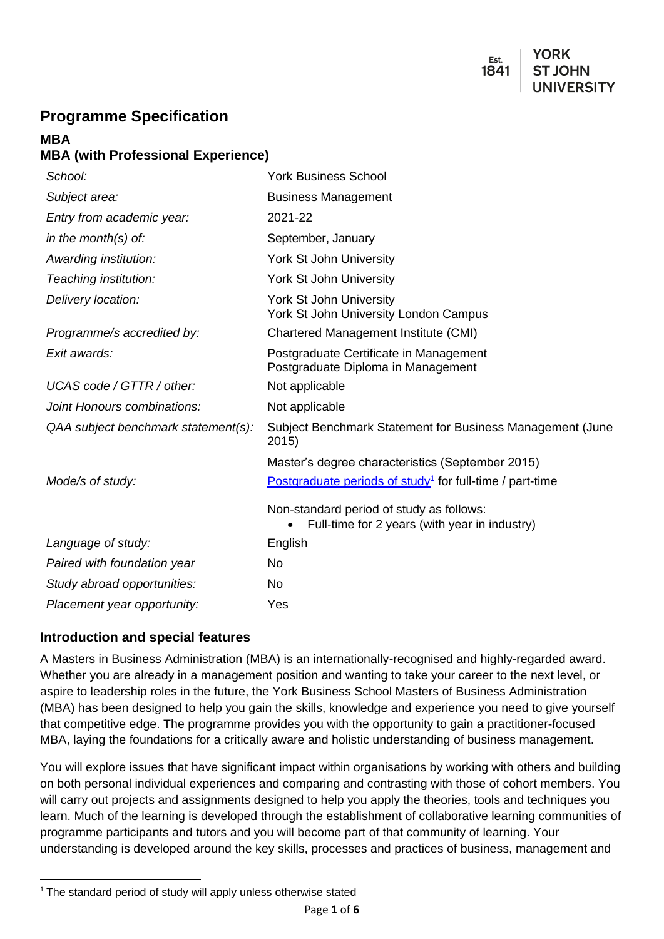## **Programme Specification**

#### **MBA MBA (with Professional Experience)**

| School:                             | <b>York Business School</b>                                                               |
|-------------------------------------|-------------------------------------------------------------------------------------------|
| Subject area:                       | <b>Business Management</b>                                                                |
| Entry from academic year:           | 2021-22                                                                                   |
| in the month(s) of:                 | September, January                                                                        |
| Awarding institution:               | <b>York St John University</b>                                                            |
| Teaching institution:               | York St John University                                                                   |
| Delivery location:                  | <b>York St John University</b><br>York St John University London Campus                   |
| Programme/s accredited by:          | Chartered Management Institute (CMI)                                                      |
| Exit awards:                        | Postgraduate Certificate in Management<br>Postgraduate Diploma in Management              |
| UCAS code / GTTR / other:           | Not applicable                                                                            |
| Joint Honours combinations:         | Not applicable                                                                            |
| QAA subject benchmark statement(s): | Subject Benchmark Statement for Business Management (June<br>2015                         |
|                                     | Master's degree characteristics (September 2015)                                          |
| Mode/s of study:                    | Postgraduate periods of study <sup>1</sup> for full-time / part-time                      |
|                                     | Non-standard period of study as follows:<br>Full-time for 2 years (with year in industry) |
| Language of study:                  | English                                                                                   |
| Paired with foundation year         | <b>No</b>                                                                                 |
| Study abroad opportunities:         | <b>No</b>                                                                                 |
| Placement year opportunity:         | Yes                                                                                       |

## **Introduction and special features**

A Masters in Business Administration (MBA) is an internationally-recognised and highly-regarded award. Whether you are already in a management position and wanting to take your career to the next level, or aspire to leadership roles in the future, the York Business School Masters of Business Administration (MBA) has been designed to help you gain the skills, knowledge and experience you need to give yourself that competitive edge. The programme provides you with the opportunity to gain a practitioner-focused MBA, laying the foundations for a critically aware and holistic understanding of business management.

You will explore issues that have significant impact within organisations by working with others and building on both personal individual experiences and comparing and contrasting with those of cohort members. You will carry out projects and assignments designed to help you apply the theories, tools and techniques you learn. Much of the learning is developed through the establishment of collaborative learning communities of programme participants and tutors and you will become part of that community of learning. Your understanding is developed around the key skills, processes and practices of business, management and

**<sup>.</sup>**  $1$ <sup>The standard period of study will apply unless otherwise stated</sup>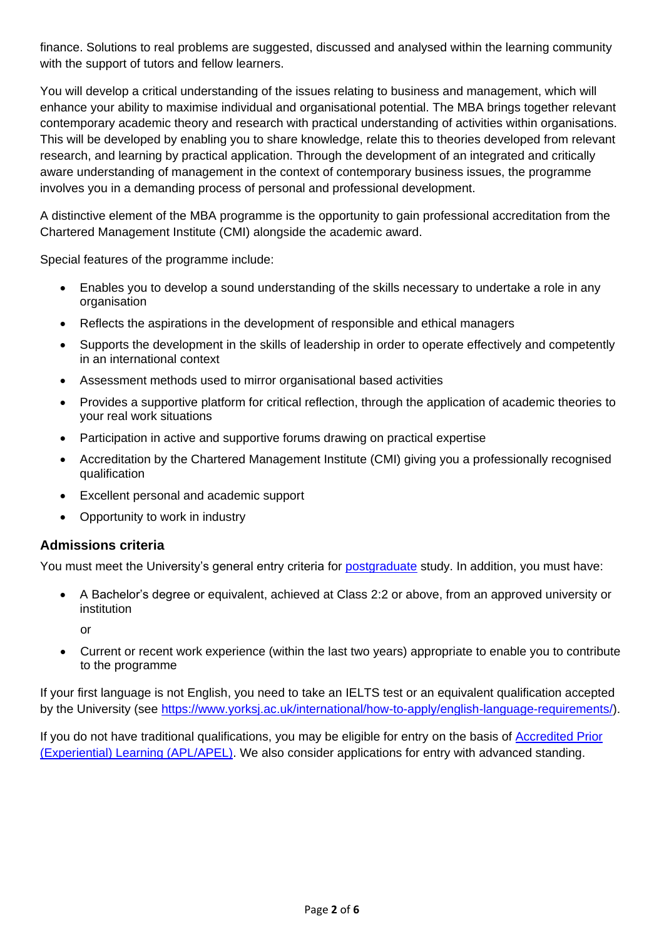finance. Solutions to real problems are suggested, discussed and analysed within the learning community with the support of tutors and fellow learners.

You will develop a critical understanding of the issues relating to business and management, which will enhance your ability to maximise individual and organisational potential. The MBA brings together relevant contemporary academic theory and research with practical understanding of activities within organisations. This will be developed by enabling you to share knowledge, relate this to theories developed from relevant research, and learning by practical application. Through the development of an integrated and critically aware understanding of management in the context of contemporary business issues, the programme involves you in a demanding process of personal and professional development.

A distinctive element of the MBA programme is the opportunity to gain professional accreditation from the Chartered Management Institute (CMI) alongside the academic award.

Special features of the programme include:

- Enables you to develop a sound understanding of the skills necessary to undertake a role in any organisation
- Reflects the aspirations in the development of responsible and ethical managers
- Supports the development in the skills of leadership in order to operate effectively and competently in an international context
- Assessment methods used to mirror organisational based activities
- Provides a supportive platform for critical reflection, through the application of academic theories to your real work situations
- Participation in active and supportive forums drawing on practical expertise
- Accreditation by the Chartered Management Institute (CMI) giving you a professionally recognised qualification
- Excellent personal and academic support
- Opportunity to work in industry

#### **Admissions criteria**

You must meet the University's general entry criteria for **postgraduate** study. In addition, you must have:

• A Bachelor's degree or equivalent, achieved at Class 2:2 or above, from an approved university or institution

or

• Current or recent work experience (within the last two years) appropriate to enable you to contribute to the programme

If your first language is not English, you need to take an IELTS test or an equivalent qualification accepted by the University (see [https://www.yorksj.ac.uk/international/how-to-apply/english-language-requirements/\)](https://www.yorksj.ac.uk/international/how-to-apply/english-language-requirements/).

If you do not have traditional qualifications, you may be eligible for entry on the basis of **Accredited Prior** [\(Experiential\) Learning \(APL/APEL\).](https://www.yorksj.ac.uk/media/content-assets/registry/sort-into-subfolders/SRA07---Policy-for-consideration-of-applications-from-candidates-not-offering-standard-school-leaving-qualifications.doc) We also consider applications for entry with advanced standing.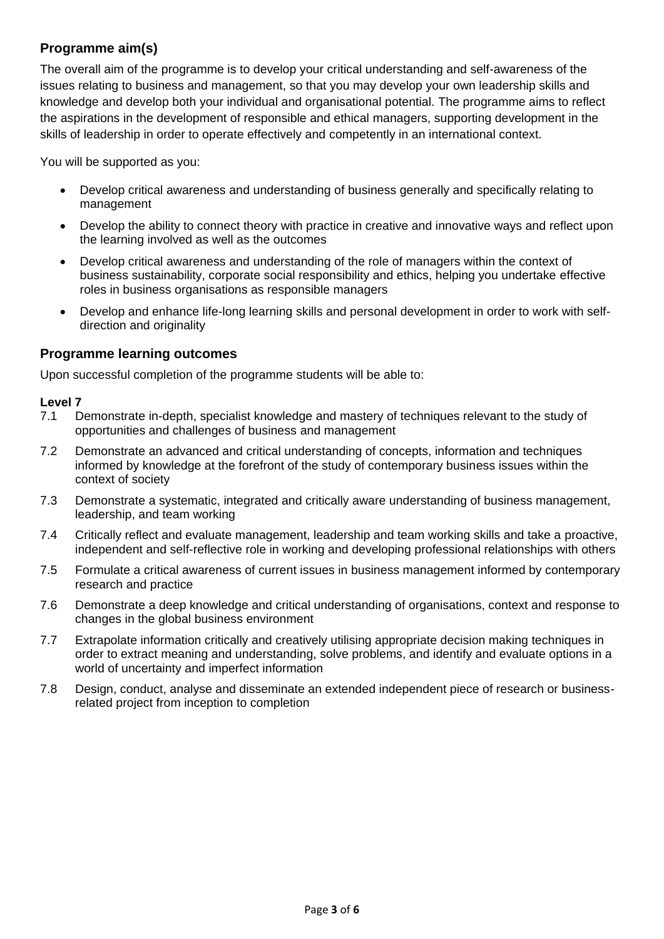## **Programme aim(s)**

The overall aim of the programme is to develop your critical understanding and self-awareness of the issues relating to business and management, so that you may develop your own leadership skills and knowledge and develop both your individual and organisational potential. The programme aims to reflect the aspirations in the development of responsible and ethical managers, supporting development in the skills of leadership in order to operate effectively and competently in an international context.

You will be supported as you:

- Develop critical awareness and understanding of business generally and specifically relating to management
- Develop the ability to connect theory with practice in creative and innovative ways and reflect upon the learning involved as well as the outcomes
- Develop critical awareness and understanding of the role of managers within the context of business sustainability, corporate social responsibility and ethics, helping you undertake effective roles in business organisations as responsible managers
- Develop and enhance life-long learning skills and personal development in order to work with selfdirection and originality

#### **Programme learning outcomes**

Upon successful completion of the programme students will be able to:

#### **Level 7**

- 7.1 Demonstrate in-depth, specialist knowledge and mastery of techniques relevant to the study of opportunities and challenges of business and management
- 7.2 Demonstrate an advanced and critical understanding of concepts, information and techniques informed by knowledge at the forefront of the study of contemporary business issues within the context of society
- 7.3 Demonstrate a systematic, integrated and critically aware understanding of business management, leadership, and team working
- 7.4 Critically reflect and evaluate management, leadership and team working skills and take a proactive, independent and self-reflective role in working and developing professional relationships with others
- 7.5 Formulate a critical awareness of current issues in business management informed by contemporary research and practice
- 7.6 Demonstrate a deep knowledge and critical understanding of organisations, context and response to changes in the global business environment
- 7.7 Extrapolate information critically and creatively utilising appropriate decision making techniques in order to extract meaning and understanding, solve problems, and identify and evaluate options in a world of uncertainty and imperfect information
- 7.8 Design, conduct, analyse and disseminate an extended independent piece of research or businessrelated project from inception to completion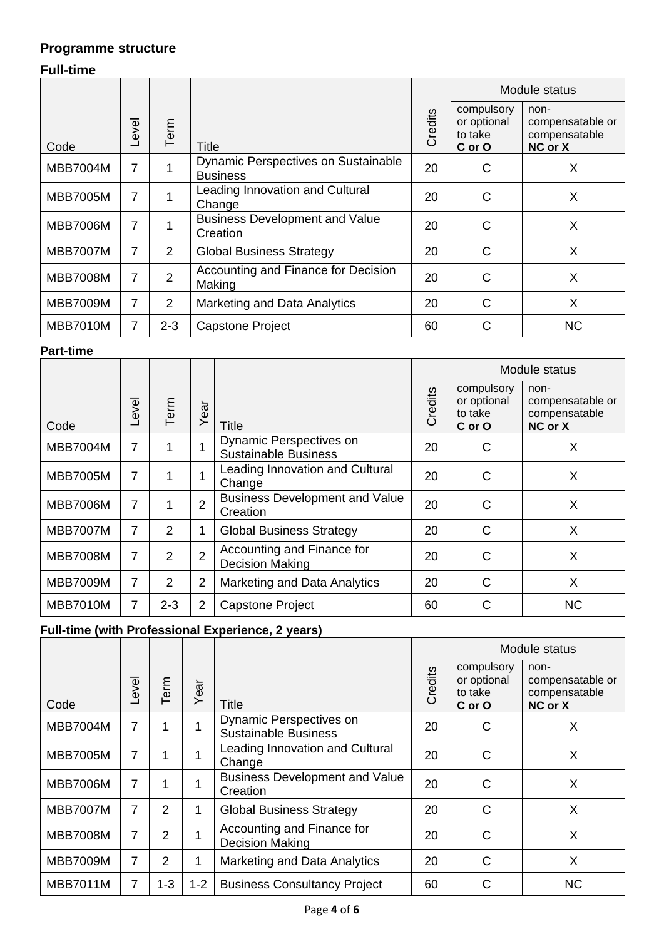## **Programme structure**

## **Full-time**

|                 |       |                |                                                               |         | Module status                                  |                                                      |  |
|-----------------|-------|----------------|---------------------------------------------------------------|---------|------------------------------------------------|------------------------------------------------------|--|
| Code            | Level | Term           | Title                                                         | Credits | compulsory<br>or optional<br>to take<br>C or O | non-<br>compensatable or<br>compensatable<br>NC or X |  |
| <b>MBB7004M</b> | 7     |                | <b>Dynamic Perspectives on Sustainable</b><br><b>Business</b> | 20      | C                                              | X                                                    |  |
| <b>MBB7005M</b> | 7     |                | Leading Innovation and Cultural<br>Change                     | 20      | C                                              | X                                                    |  |
| <b>MBB7006M</b> | 7     |                | <b>Business Development and Value</b><br>Creation             | 20      | C                                              | X                                                    |  |
| <b>MBB7007M</b> | 7     | 2              | <b>Global Business Strategy</b>                               | 20      | $\mathsf{C}$                                   | X                                                    |  |
| <b>MBB7008M</b> | 7     | $\overline{2}$ | Accounting and Finance for Decision<br>Making                 | 20      | C                                              | X                                                    |  |
| <b>MBB7009M</b> | 7     | 2              | <b>Marketing and Data Analytics</b>                           | 20      | $\mathsf{C}$                                   | X                                                    |  |
| <b>MBB7010M</b> | 7     | $2 - 3$        | <b>Capstone Project</b>                                       | 60      | C                                              | <b>NC</b>                                            |  |

## **Part-time**

|                 |       |                |                |                                                      |         | Module status                                  |                                                      |  |
|-----------------|-------|----------------|----------------|------------------------------------------------------|---------|------------------------------------------------|------------------------------------------------------|--|
| Code            | Level | Term           | ear<br>$\succ$ | Title                                                | Credits | compulsory<br>or optional<br>to take<br>C or O | non-<br>compensatable or<br>compensatable<br>NC or X |  |
| <b>MBB7004M</b> | 7     | 1              | 1              | Dynamic Perspectives on<br>Sustainable Business      | 20      | C                                              | X                                                    |  |
| <b>MBB7005M</b> | 7     | 1              | 1              | Leading Innovation and Cultural<br>Change            | 20      | C                                              | X                                                    |  |
| <b>MBB7006M</b> | 7     | 1              | $\overline{2}$ | <b>Business Development and Value</b><br>Creation    | 20      | C                                              | X                                                    |  |
| <b>MBB7007M</b> | 7     | 2              | 1              | <b>Global Business Strategy</b>                      | 20      | $\mathsf{C}$                                   | X                                                    |  |
| <b>MBB7008M</b> | 7     | $\overline{2}$ | $\overline{2}$ | Accounting and Finance for<br><b>Decision Making</b> | 20      | C                                              | X                                                    |  |
| <b>MBB7009M</b> | 7     | 2              | $\overline{2}$ | <b>Marketing and Data Analytics</b>                  | 20      | $\mathsf{C}$                                   | X                                                    |  |
| <b>MBB7010M</b> | 7     | $2 - 3$        | 2              | <b>Capstone Project</b>                              | 60      | C                                              | <b>NC</b>                                            |  |

# **Full-time (with Professional Experience, 2 years)**

|                 |       |         |         |                                                        |         | Module status                                  |                                                      |
|-----------------|-------|---------|---------|--------------------------------------------------------|---------|------------------------------------------------|------------------------------------------------------|
| Code            | Level | Term    | Year    | Title                                                  | Credits | compulsory<br>or optional<br>to take<br>C or O | non-<br>compensatable or<br>compensatable<br>NC or X |
| <b>MBB7004M</b> | 7     | 1       | 1       | Dynamic Perspectives on<br><b>Sustainable Business</b> | 20      | C                                              | X                                                    |
| <b>MBB7005M</b> | 7     |         | 1       | Leading Innovation and Cultural<br>Change              | 20      | C                                              | X                                                    |
| <b>MBB7006M</b> | 7     | 1       | 1       | <b>Business Development and Value</b><br>Creation      | 20      | C                                              | X                                                    |
| <b>MBB7007M</b> | 7     | 2       | 1       | <b>Global Business Strategy</b>                        | 20      | C                                              | X                                                    |
| <b>MBB7008M</b> | 7     | 2       | 1       | Accounting and Finance for<br><b>Decision Making</b>   | 20      | $\mathsf{C}$                                   | X                                                    |
| <b>MBB7009M</b> | 7     | 2       | 1       | <b>Marketing and Data Analytics</b>                    | 20      | C                                              | X                                                    |
| <b>MBB7011M</b> | 7     | $1 - 3$ | $1 - 2$ | <b>Business Consultancy Project</b>                    | 60      | C                                              | <b>NC</b>                                            |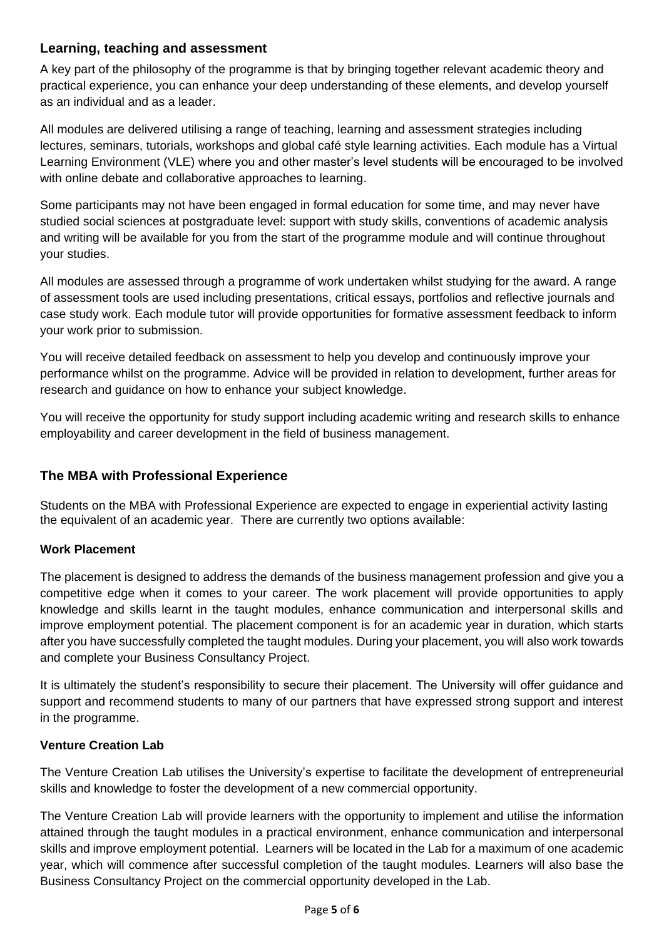## **Learning, teaching and assessment**

A key part of the philosophy of the programme is that by bringing together relevant academic theory and practical experience, you can enhance your deep understanding of these elements, and develop yourself as an individual and as a leader.

All modules are delivered utilising a range of teaching, learning and assessment strategies including lectures, seminars, tutorials, workshops and global café style learning activities. Each module has a Virtual Learning Environment (VLE) where you and other master's level students will be encouraged to be involved with online debate and collaborative approaches to learning.

Some participants may not have been engaged in formal education for some time, and may never have studied social sciences at postgraduate level: support with study skills, conventions of academic analysis and writing will be available for you from the start of the programme module and will continue throughout your studies.

All modules are assessed through a programme of work undertaken whilst studying for the award. A range of assessment tools are used including presentations, critical essays, portfolios and reflective journals and case study work. Each module tutor will provide opportunities for formative assessment feedback to inform your work prior to submission.

You will receive detailed feedback on assessment to help you develop and continuously improve your performance whilst on the programme. Advice will be provided in relation to development, further areas for research and guidance on how to enhance your subject knowledge.

You will receive the opportunity for study support including academic writing and research skills to enhance employability and career development in the field of business management.

## **The MBA with Professional Experience**

Students on the MBA with Professional Experience are expected to engage in experiential activity lasting the equivalent of an academic year. There are currently two options available:

#### **Work Placement**

The placement is designed to address the demands of the business management profession and give you a competitive edge when it comes to your career. The work placement will provide opportunities to apply knowledge and skills learnt in the taught modules, enhance communication and interpersonal skills and improve employment potential. The placement component is for an academic year in duration, which starts after you have successfully completed the taught modules. During your placement, you will also work towards and complete your Business Consultancy Project.

It is ultimately the student's responsibility to secure their placement. The University will offer guidance and support and recommend students to many of our partners that have expressed strong support and interest in the programme.

#### **Venture Creation Lab**

The Venture Creation Lab utilises the University's expertise to facilitate the development of entrepreneurial skills and knowledge to foster the development of a new commercial opportunity.

The Venture Creation Lab will provide learners with the opportunity to implement and utilise the information attained through the taught modules in a practical environment, enhance communication and interpersonal skills and improve employment potential. Learners will be located in the Lab for a maximum of one academic year, which will commence after successful completion of the taught modules. Learners will also base the Business Consultancy Project on the commercial opportunity developed in the Lab.